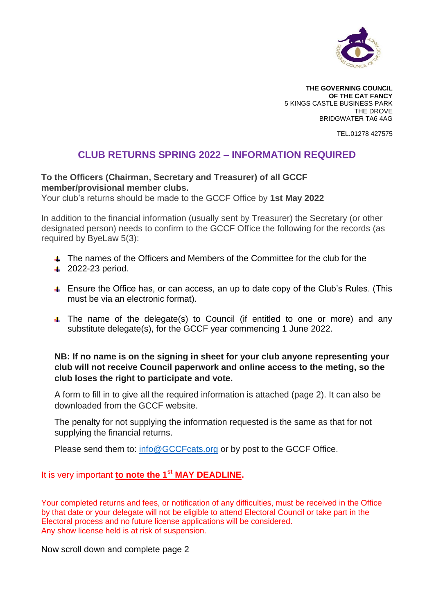

**THE GOVERNING COUNCIL OF THE CAT FANCY** 5 KINGS CASTLE BUSINESS PARK THE DROVE BRIDGWATER TA6 4AG

TEL.01278 427575

# **CLUB RETURNS SPRING 2022 – INFORMATION REQUIRED**

## **To the Officers (Chairman, Secretary and Treasurer) of all GCCF member/provisional member clubs.**

Your club's returns should be made to the GCCF Office by **1st May 2022**

In addition to the financial information (usually sent by Treasurer) the Secretary (or other designated person) needs to confirm to the GCCF Office the following for the records (as required by ByeLaw 5(3):

- The names of the Officers and Members of the Committee for the club for the
- $\overline{2022}$ -23 period.
- Ensure the Office has, or can access, an up to date copy of the Club's Rules. (This must be via an electronic format).
- $\uparrow$  The name of the delegate(s) to Council (if entitled to one or more) and any substitute delegate(s), for the GCCF year commencing 1 June 2022.

## **NB: If no name is on the signing in sheet for your club anyone representing your club will not receive Council paperwork and online access to the meting, so the club loses the right to participate and vote.**

A form to fill in to give all the required information is attached (page 2). It can also be downloaded from the GCCF website.

The penalty for not supplying the information requested is the same as that for not supplying the financial returns.

Please send them to: [info@GCCFcats.org](mailto:info@GCCFcats.org) or by post to the GCCF Office.

## It is very important **to note the 1st MAY DEADLINE.**

Your completed returns and fees, or notification of any difficulties, must be received in the Office by that date or your delegate will not be eligible to attend Electoral Council or take part in the Electoral process and no future license applications will be considered. Any show license held is at risk of suspension.

Now scroll down and complete page 2